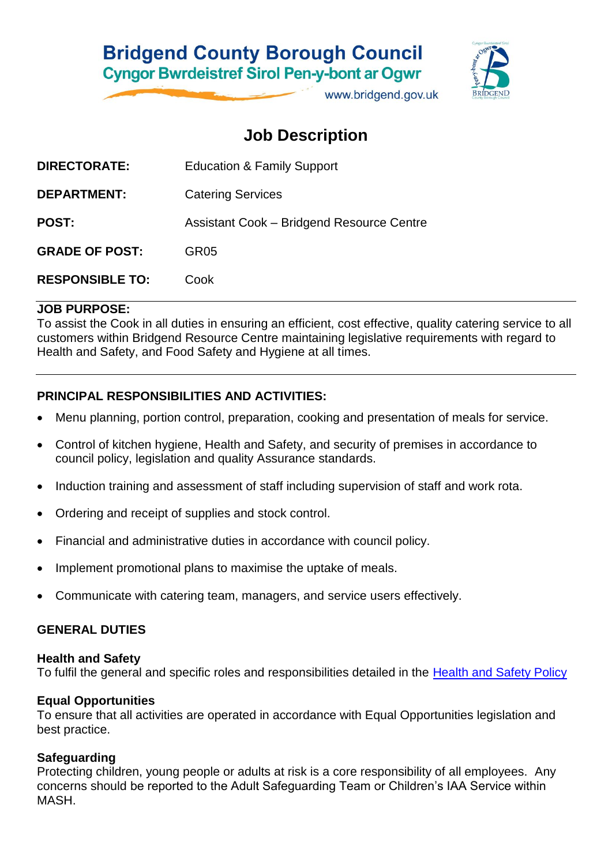## **Bridgend County Borough Council Cyngor Bwrdeistref Sirol Pen-y-bont ar Ogwr**

www.bridgend.gov.uk

# **Job Description**

| <b>Education &amp; Family Support</b>            |
|--------------------------------------------------|
| <b>Catering Services</b>                         |
| <b>Assistant Cook - Bridgend Resource Centre</b> |
| GR <sub>05</sub>                                 |
| Cook                                             |
|                                                  |

#### **JOB PURPOSE:**

To assist the Cook in all duties in ensuring an efficient, cost effective, quality catering service to all customers within Bridgend Resource Centre maintaining legislative requirements with regard to Health and Safety, and Food Safety and Hygiene at all times.

### **PRINCIPAL RESPONSIBILITIES AND ACTIVITIES:**

- Menu planning, portion control, preparation, cooking and presentation of meals for service.
- Control of kitchen hygiene, Health and Safety, and security of premises in accordance to council policy, legislation and quality Assurance standards.
- Induction training and assessment of staff including supervision of staff and work rota.
- Ordering and receipt of supplies and stock control.
- Financial and administrative duties in accordance with council policy.
- Implement promotional plans to maximise the uptake of meals.
- Communicate with catering team, managers, and service users effectively.

#### **GENERAL DUTIES**

#### **Health and Safety**

To fulfil the general and specific roles and responsibilities detailed in the [Health and Safety Policy](http://www.bridgenders.net/healthandsafety/Documents/Policies/Corporate%20Health%20and%20Safety%20Policy.pdf)

#### **Equal Opportunities**

To ensure that all activities are operated in accordance with Equal Opportunities legislation and best practice.

#### **Safeguarding**

Protecting children, young people or adults at risk is a core responsibility of all employees. Any concerns should be reported to the Adult Safeguarding Team or Children's IAA Service within MASH.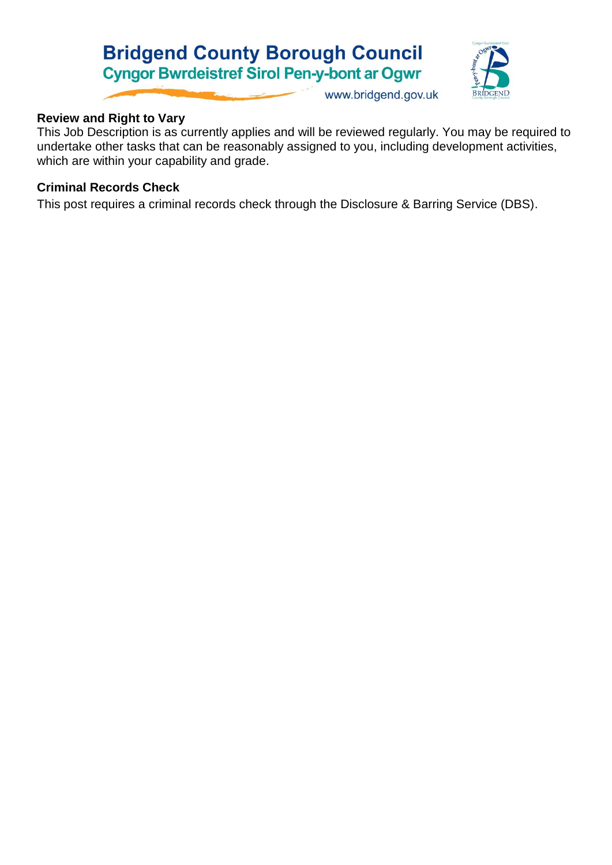# **Bridgend County Borough Council Cyngor Bwrdeistref Sirol Pen-y-bont ar Ogwr**



www.bridgend.gov.uk

### **Review and Right to Vary**

This Job Description is as currently applies and will be reviewed regularly. You may be required to undertake other tasks that can be reasonably assigned to you, including development activities, which are within your capability and grade.

### **Criminal Records Check**

This post requires a criminal records check through the Disclosure & Barring Service (DBS).